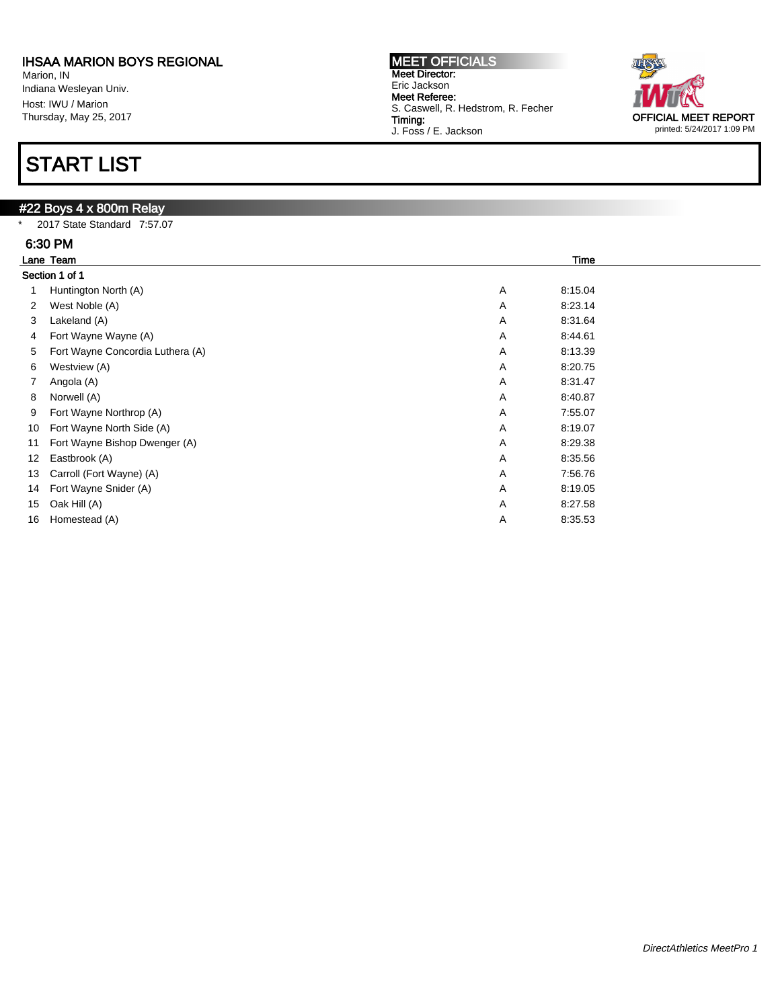Marion, IN Indiana Wesleyan Univ. Host: IWU / Marion Thursday, May 25, 2017

# START LIST

## #22 Boys 4 x 800m Relay

\* 2017 State Standard 7:57.07

|    | 6:30 PM                          |              |  |  |  |  |
|----|----------------------------------|--------------|--|--|--|--|
|    | Lane Team                        | <b>Time</b>  |  |  |  |  |
|    | Section 1 of 1                   |              |  |  |  |  |
|    | Huntington North (A)             | Α<br>8:15.04 |  |  |  |  |
| 2  | West Noble (A)                   | 8:23.14<br>Α |  |  |  |  |
| 3  | Lakeland (A)                     | Α<br>8:31.64 |  |  |  |  |
| 4  | Fort Wayne Wayne (A)             | Α<br>8:44.61 |  |  |  |  |
| 5  | Fort Wayne Concordia Luthera (A) | Α<br>8:13.39 |  |  |  |  |
| 6  | Westview (A)                     | Α<br>8:20.75 |  |  |  |  |
|    | Angola (A)                       | Α<br>8:31.47 |  |  |  |  |
| 8  | Norwell (A)                      | Α<br>8:40.87 |  |  |  |  |
| 9  | Fort Wayne Northrop (A)          | Α<br>7:55.07 |  |  |  |  |
| 10 | Fort Wayne North Side (A)        | Α<br>8:19.07 |  |  |  |  |
| 11 | Fort Wayne Bishop Dwenger (A)    | Α<br>8:29.38 |  |  |  |  |
| 12 | Eastbrook (A)                    | Α<br>8:35.56 |  |  |  |  |
| 13 | Carroll (Fort Wayne) (A)         | 7:56.76<br>Α |  |  |  |  |
| 14 | Fort Wayne Snider (A)            | Α<br>8:19.05 |  |  |  |  |
| 15 | Oak Hill (A)                     | Α<br>8:27.58 |  |  |  |  |
| 16 | Homestead (A)                    | Α<br>8:35.53 |  |  |  |  |

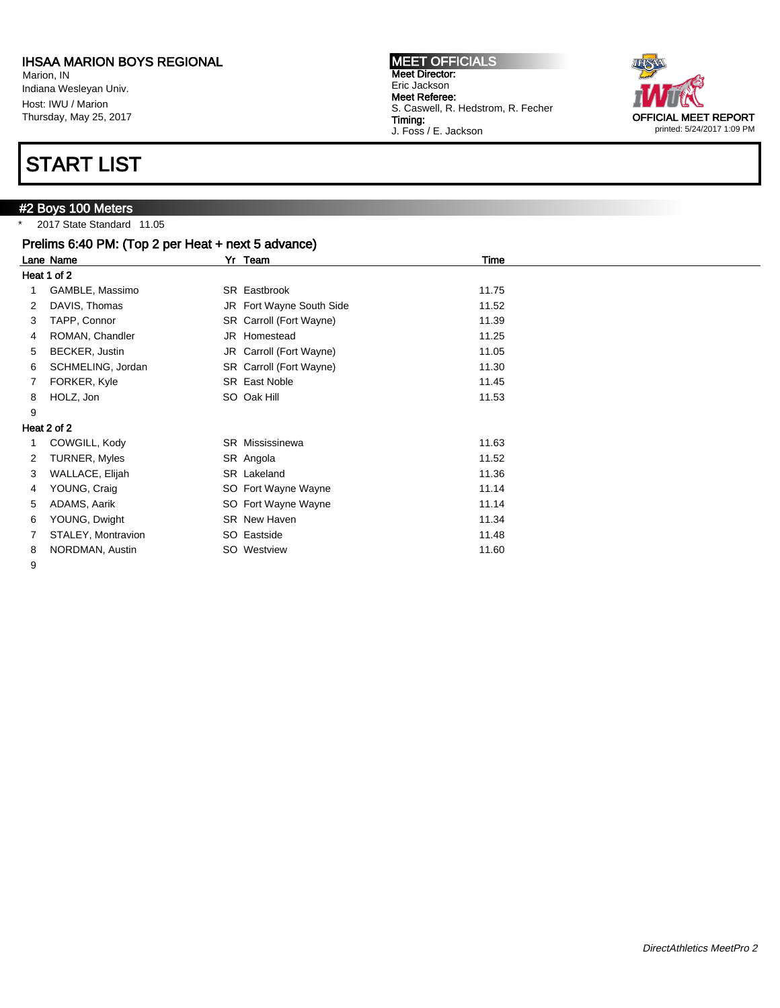Marion, IN Indiana Wesleyan Univ. Host: IWU / Marion Thursday, May 25, 2017

## START LIST

## #2 Boys 100 Meters

\* 2017 State Standard 11.05

|   | Prelims 6:40 PM: (Top 2 per Heat + next 5 advance) |                          |       |  |  |  |  |
|---|----------------------------------------------------|--------------------------|-------|--|--|--|--|
|   | Lane Name                                          | Yr Team                  | Time  |  |  |  |  |
|   | Heat 1 of 2                                        |                          |       |  |  |  |  |
|   | GAMBLE, Massimo                                    | SR Eastbrook             | 11.75 |  |  |  |  |
| 2 | DAVIS, Thomas                                      | JR Fort Wayne South Side | 11.52 |  |  |  |  |
| 3 | TAPP, Connor                                       | SR Carroll (Fort Wayne)  | 11.39 |  |  |  |  |
| 4 | ROMAN, Chandler                                    | JR Homestead             | 11.25 |  |  |  |  |
| 5 | BECKER, Justin                                     | JR Carroll (Fort Wayne)  | 11.05 |  |  |  |  |
| 6 | SCHMELING, Jordan                                  | SR Carroll (Fort Wayne)  | 11.30 |  |  |  |  |
|   | FORKER, Kyle                                       | SR East Noble            | 11.45 |  |  |  |  |
| 8 | HOLZ, Jon                                          | SO Oak Hill              | 11.53 |  |  |  |  |
| 9 |                                                    |                          |       |  |  |  |  |
|   | Heat 2 of 2                                        |                          |       |  |  |  |  |
|   | COWGILL, Kody                                      | <b>SR</b> Mississinewa   | 11.63 |  |  |  |  |
| 2 | <b>TURNER, Myles</b>                               | SR Angola                | 11.52 |  |  |  |  |
| 3 | WALLACE, Elijah                                    | SR Lakeland              | 11.36 |  |  |  |  |
| 4 | YOUNG, Craig                                       | SO Fort Wayne Wayne      | 11.14 |  |  |  |  |
| 5 | ADAMS, Aarik                                       | SO Fort Wayne Wayne      | 11.14 |  |  |  |  |
| 6 | YOUNG, Dwight                                      | SR New Haven             | 11.34 |  |  |  |  |
|   | STALEY, Montravion                                 | SO Eastside              | 11.48 |  |  |  |  |
| 8 | NORDMAN, Austin                                    | SO Westview              | 11.60 |  |  |  |  |

9

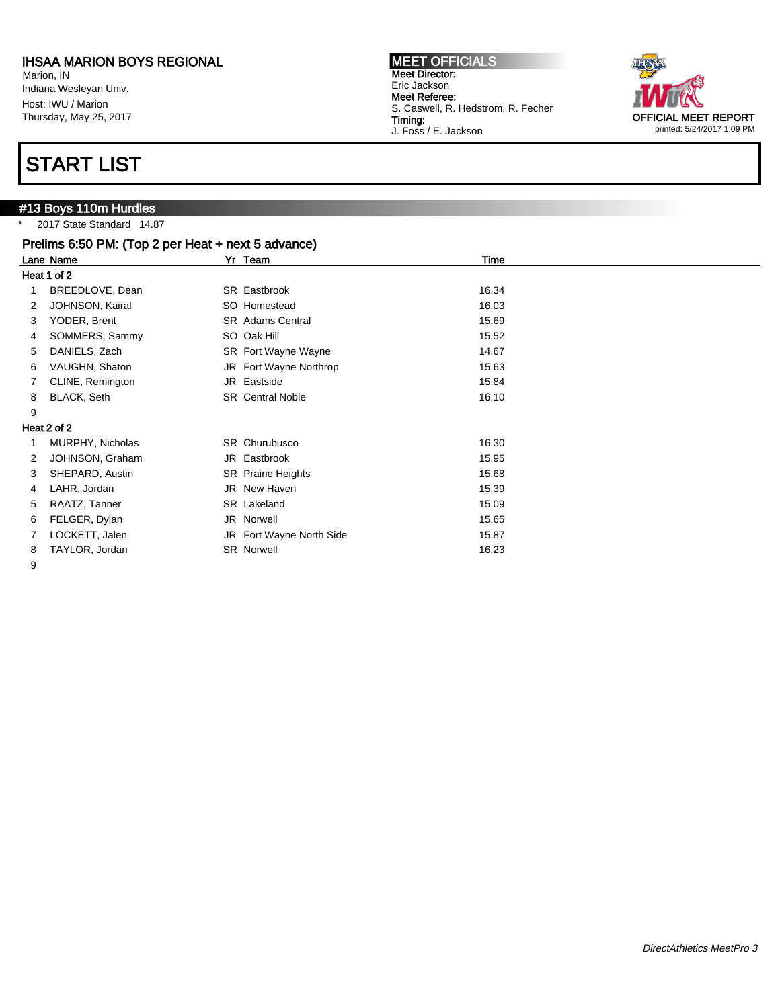Marion, IN Indiana Wesleyan Univ. Host: IWU / Marion Thursday, May 25, 2017

## START LIST

#13 Boys 110m Hurdles \* 2017 State Standard 14.87

|             | Prelims 6:50 PM: (Top 2 per Heat + next 5 advance) |  |                           |       |  |  |
|-------------|----------------------------------------------------|--|---------------------------|-------|--|--|
|             | Lane Name                                          |  | Yr Team                   | Time  |  |  |
| Heat 1 of 2 |                                                    |  |                           |       |  |  |
|             | BREEDLOVE, Dean                                    |  | SR Eastbrook              | 16.34 |  |  |
| 2           | JOHNSON, Kairal                                    |  | SO Homestead              | 16.03 |  |  |
| 3           | YODER, Brent                                       |  | <b>SR</b> Adams Central   | 15.69 |  |  |
| 4           | SOMMERS, Sammy                                     |  | SO Oak Hill               | 15.52 |  |  |
| 5           | DANIELS, Zach                                      |  | SR Fort Wayne Wayne       | 14.67 |  |  |
| 6           | VAUGHN, Shaton                                     |  | JR Fort Wayne Northrop    | 15.63 |  |  |
|             | CLINE, Remington                                   |  | JR Eastside               | 15.84 |  |  |
| 8           | BLACK, Seth                                        |  | <b>SR</b> Central Noble   | 16.10 |  |  |
| 9           |                                                    |  |                           |       |  |  |
|             | Heat 2 of 2                                        |  |                           |       |  |  |
|             | MURPHY, Nicholas                                   |  | SR Churubusco             | 16.30 |  |  |
| 2           | JOHNSON, Graham                                    |  | JR Eastbrook              | 15.95 |  |  |
| 3           | SHEPARD, Austin                                    |  | <b>SR</b> Prairie Heights | 15.68 |  |  |
| 4           | LAHR, Jordan                                       |  | JR New Haven              | 15.39 |  |  |
| 5           | RAATZ, Tanner                                      |  | SR Lakeland               | 15.09 |  |  |
| 6           | FELGER, Dylan                                      |  | JR Norwell                | 15.65 |  |  |
| 7           | LOCKETT, Jalen                                     |  | JR Fort Wayne North Side  | 15.87 |  |  |
| 8           | TAYLOR, Jordan                                     |  | <b>SR Norwell</b>         | 16.23 |  |  |

9

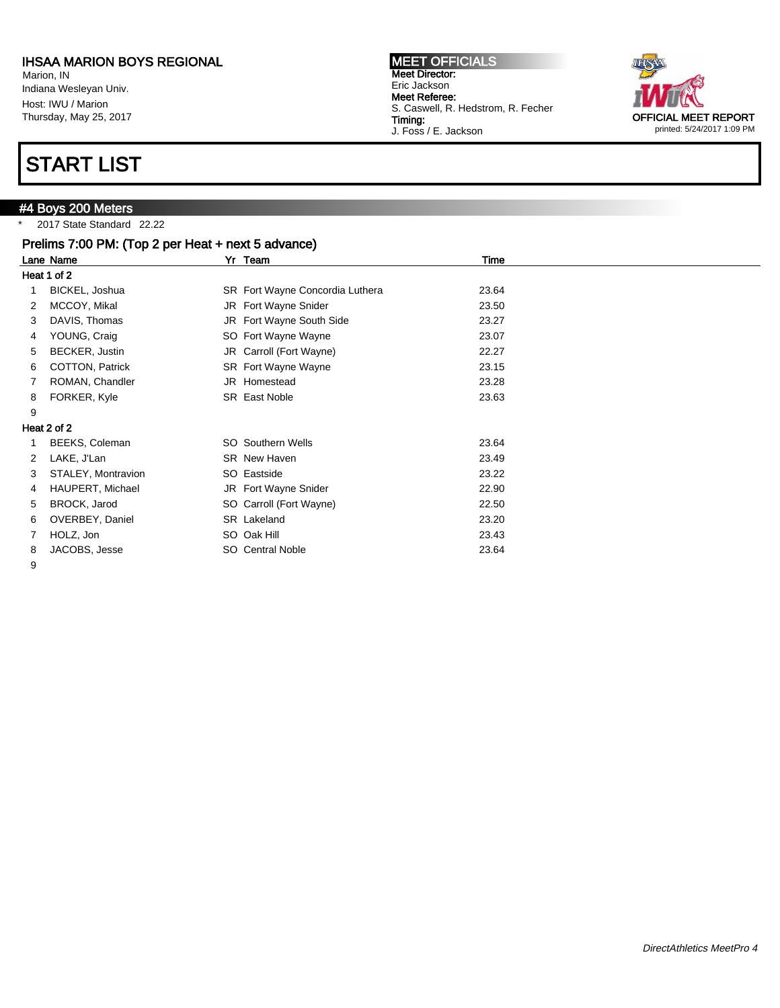Marion, IN Indiana Wesleyan Univ. Host: IWU / Marion Thursday, May 25, 2017

# START LIST

## #4 Boys 200 Meters

2017 State Standard 22.22

|   | Prelims 7:00 PM: (Top 2 per Heat + next 5 advance) |  |                                 |       |  |  |
|---|----------------------------------------------------|--|---------------------------------|-------|--|--|
|   | Lane Name                                          |  | Yr Team                         | Time  |  |  |
|   | Heat 1 of 2                                        |  |                                 |       |  |  |
|   | BICKEL, Joshua                                     |  | SR Fort Wayne Concordia Luthera | 23.64 |  |  |
| 2 | MCCOY, Mikal                                       |  | JR Fort Wayne Snider            | 23.50 |  |  |
| 3 | DAVIS, Thomas                                      |  | JR Fort Wayne South Side        | 23.27 |  |  |
| 4 | YOUNG, Craig                                       |  | SO Fort Wayne Wayne             | 23.07 |  |  |
| 5 | BECKER, Justin                                     |  | JR Carroll (Fort Wayne)         | 22.27 |  |  |
| 6 | COTTON, Patrick                                    |  | SR Fort Wayne Wayne             | 23.15 |  |  |
|   | ROMAN, Chandler                                    |  | JR Homestead                    | 23.28 |  |  |
| 8 | FORKER, Kyle                                       |  | SR East Noble                   | 23.63 |  |  |
| 9 |                                                    |  |                                 |       |  |  |
|   | Heat 2 of 2                                        |  |                                 |       |  |  |
|   | BEEKS, Coleman                                     |  | <b>SO</b> Southern Wells        | 23.64 |  |  |
| 2 | LAKE, J'Lan                                        |  | SR New Haven                    | 23.49 |  |  |
| 3 | STALEY, Montravion                                 |  | SO Eastside                     | 23.22 |  |  |
| 4 | HAUPERT, Michael                                   |  | JR Fort Wayne Snider            | 22.90 |  |  |
| 5 | BROCK, Jarod                                       |  | SO Carroll (Fort Wayne)         | 22.50 |  |  |
| 6 | OVERBEY, Daniel                                    |  | SR Lakeland                     | 23.20 |  |  |
|   | HOLZ, Jon                                          |  | SO Oak Hill                     | 23.43 |  |  |
| 8 | JACOBS, Jesse                                      |  | SO Central Noble                | 23.64 |  |  |

9



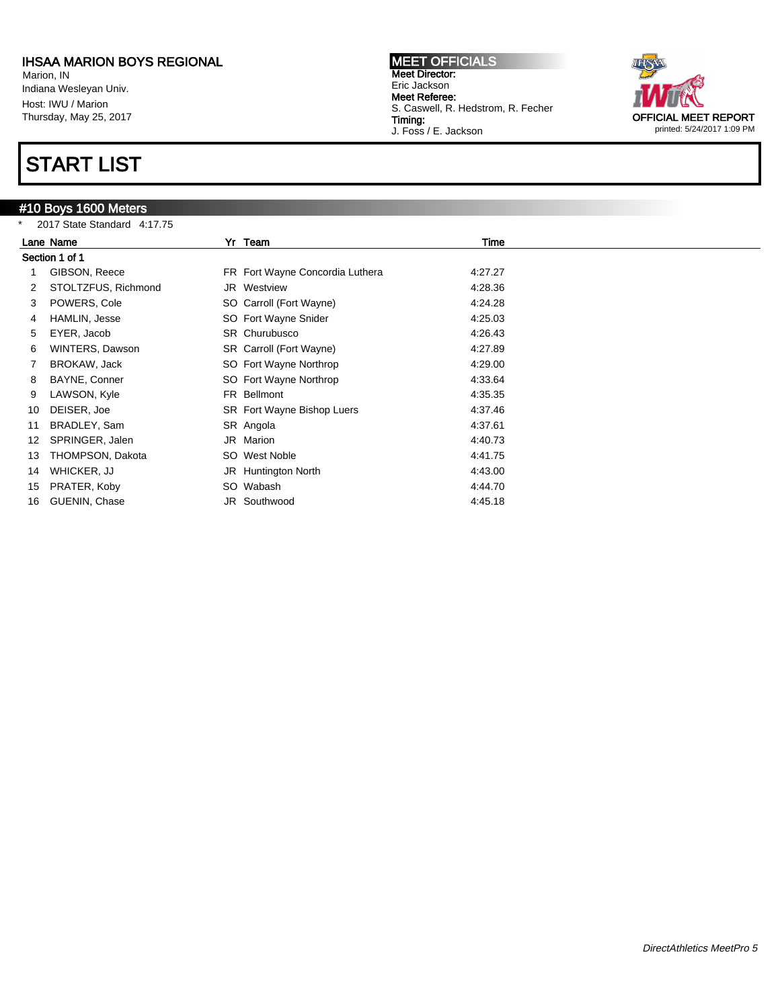Marion, IN Indiana Wesleyan Univ. Host: IWU / Marion Thursday, May 25, 2017

## START LIST

## #10 Boys 1600 Meters



|    | 2017 State Standard 4:17.75 |  |                                 |         |  |  |  |
|----|-----------------------------|--|---------------------------------|---------|--|--|--|
|    | Lane Name                   |  | Yr Team                         | Time    |  |  |  |
|    | Section 1 of 1              |  |                                 |         |  |  |  |
|    | GIBSON, Reece               |  | FR Fort Wayne Concordia Luthera | 4:27.27 |  |  |  |
| 2  | STOLTZFUS, Richmond         |  | JR Westview                     | 4:28.36 |  |  |  |
| 3  | POWERS, Cole                |  | SO Carroll (Fort Wayne)         | 4:24.28 |  |  |  |
| 4  | HAMLIN, Jesse               |  | SO Fort Wayne Snider            | 4:25.03 |  |  |  |
| 5  | EYER, Jacob                 |  | SR Churubusco                   | 4:26.43 |  |  |  |
| 6  | WINTERS, Dawson             |  | SR Carroll (Fort Wayne)         | 4:27.89 |  |  |  |
|    | BROKAW, Jack                |  | SO Fort Wayne Northrop          | 4:29.00 |  |  |  |
| 8  | BAYNE, Conner               |  | SO Fort Wayne Northrop          | 4:33.64 |  |  |  |
| 9  | LAWSON, Kyle                |  | FR Bellmont                     | 4:35.35 |  |  |  |
| 10 | DEISER, Joe                 |  | SR Fort Wayne Bishop Luers      | 4:37.46 |  |  |  |
| 11 | BRADLEY, Sam                |  | SR Angola                       | 4:37.61 |  |  |  |
| 12 | SPRINGER, Jalen             |  | JR Marion                       | 4:40.73 |  |  |  |
| 13 | THOMPSON, Dakota            |  | SO West Noble                   | 4:41.75 |  |  |  |
| 14 | WHICKER, JJ                 |  | JR Huntington North             | 4:43.00 |  |  |  |
| 15 | PRATER, Koby                |  | SO Wabash                       | 4:44.70 |  |  |  |
| 16 | GUENIN, Chase               |  | JR Southwood                    | 4:45.18 |  |  |  |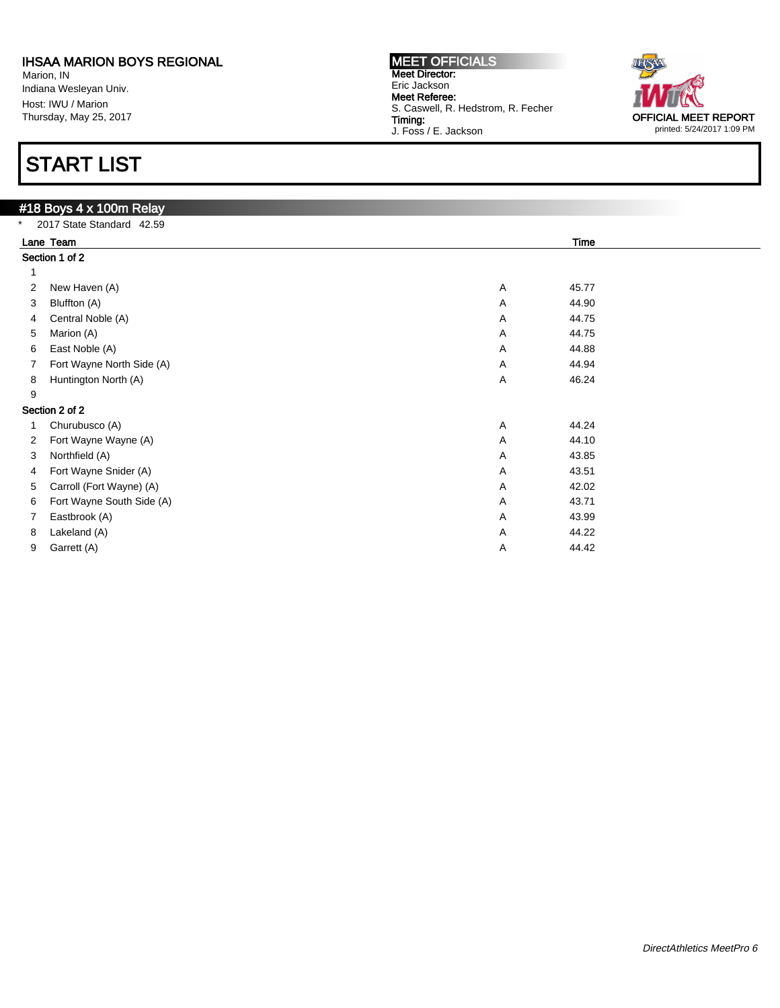Marion, IN Indiana Wesleyan Univ. Host: IWU / Marion Thursday, May 25, 2017

# START LIST

### #18 Boys 4 x 100m Relay 2017 State Standard 42.59 Lane Team Time Section 1 of 2 1 2 New Haven (A) 45.77 3 Bluffton (A) A 44.90 4 Central Noble (A) 44.75 5 Marion (A) A 44.75 6 East Noble (A) A 44.88 7 Fort Wayne North Side (A) 44.94 8 Huntington North (A) 46.24 9 Section 2 of 2 1 Churubusco (A) 44.24 A 44.24 2 Fort Wayne Wayne (A) 2 Fort Wayne (A) 2 Fort Wayne Wayne (A) 44.10 3 Northfield (A) 43.85 4 Fort Wayne Snider (A) A 43.51 5 Carroll (Fort Wayne) (A) A 42.02 6 Fort Wayne South Side (A) **A** 43.71 7 Eastbrook (A) and the contract of the contract of the contract of the contract of the contract of the contract of the 43.99  $A$  and 43.99 8 Lakeland (A)  $A = 44.22$ 9 Garrett (A) A 44.42

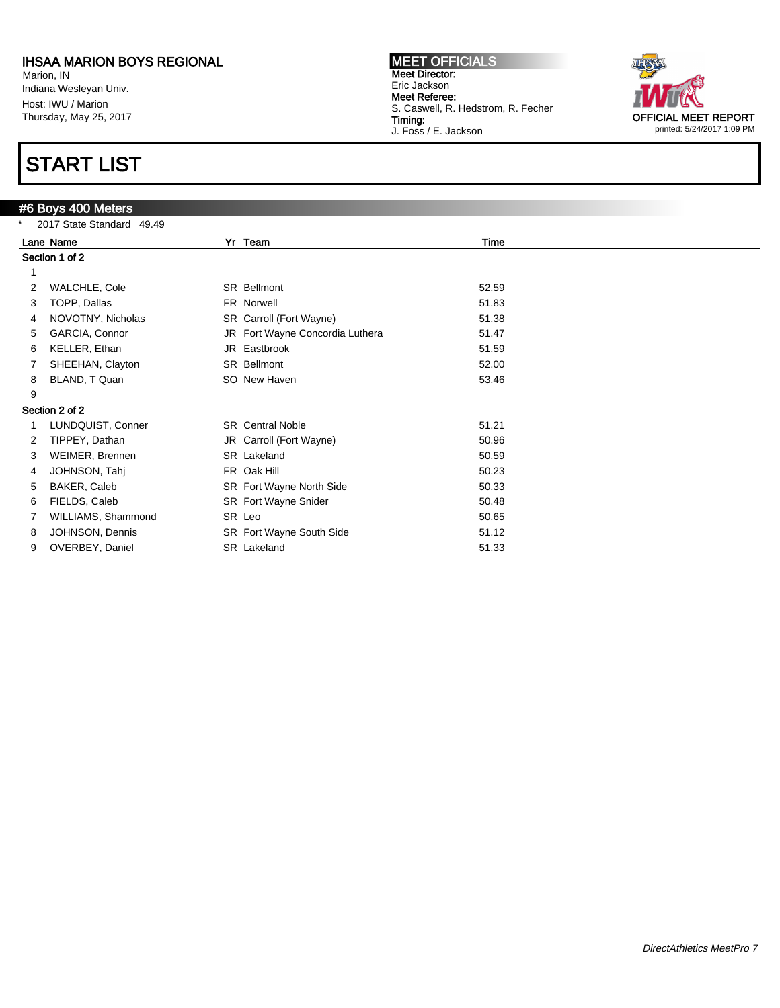Marion, IN Indiana Wesleyan Univ. Host: IWU / Marion Thursday, May 25, 2017

## START LIST

## #6 Boys 400 Meters

| $\star$ | 2017 State Standard 49.49 |  |                                 |       |  |  |  |
|---------|---------------------------|--|---------------------------------|-------|--|--|--|
|         | Lane Name                 |  | Yr Team                         | Time  |  |  |  |
|         | Section 1 of 2            |  |                                 |       |  |  |  |
| 1       |                           |  |                                 |       |  |  |  |
| 2       | WALCHLE, Cole             |  | <b>SR</b> Bellmont              | 52.59 |  |  |  |
| 3       | TOPP, Dallas              |  | FR Norwell                      | 51.83 |  |  |  |
| 4       | NOVOTNY, Nicholas         |  | SR Carroll (Fort Wayne)         | 51.38 |  |  |  |
| 5       | GARCIA, Connor            |  | JR Fort Wayne Concordia Luthera | 51.47 |  |  |  |
| 6       | KELLER, Ethan             |  | JR Eastbrook                    | 51.59 |  |  |  |
|         | SHEEHAN, Clayton          |  | SR Bellmont                     | 52.00 |  |  |  |
| 8       | BLAND, T Quan             |  | SO New Haven                    | 53.46 |  |  |  |
| 9       |                           |  |                                 |       |  |  |  |
|         | Section 2 of 2            |  |                                 |       |  |  |  |
|         | LUNDQUIST, Conner         |  | <b>SR</b> Central Noble         | 51.21 |  |  |  |
| 2       | TIPPEY, Dathan            |  | JR Carroll (Fort Wayne)         | 50.96 |  |  |  |
| 3       | WEIMER, Brennen           |  | SR Lakeland                     | 50.59 |  |  |  |
| 4       | JOHNSON, Tahj             |  | FR Oak Hill                     | 50.23 |  |  |  |
| 5       | BAKER, Caleb              |  | SR Fort Wayne North Side        | 50.33 |  |  |  |
| 6       | FIELDS, Caleb             |  | SR Fort Wayne Snider            | 50.48 |  |  |  |
|         | WILLIAMS, Shammond        |  | SR Leo                          | 50.65 |  |  |  |
| 8       | JOHNSON, Dennis           |  | SR Fort Wayne South Side        | 51.12 |  |  |  |
| 9       | OVERBEY, Daniel           |  | SR Lakeland                     | 51.33 |  |  |  |
|         |                           |  |                                 |       |  |  |  |

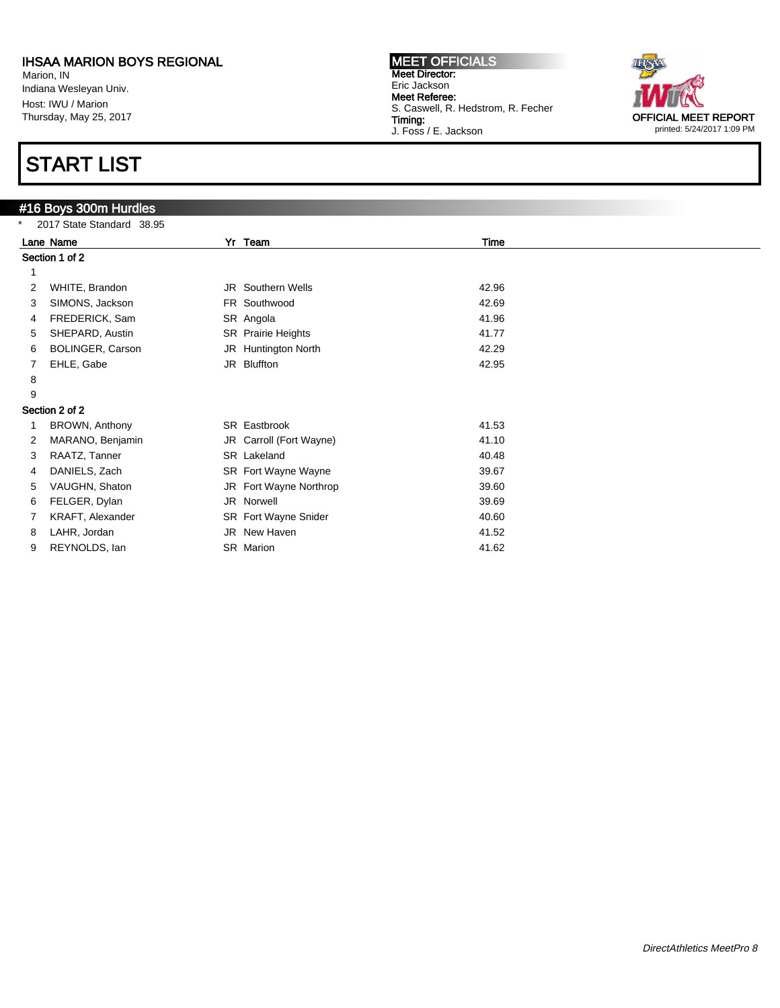Marion, IN Indiana Wesleyan Univ. Host: IWU / Marion Thursday, May 25, 2017

## START LIST

## #16 Boys 300m Hurdles

| * | 2017 State Standard 38.95 |  |                           |       |  |  |  |
|---|---------------------------|--|---------------------------|-------|--|--|--|
|   | Lane Name                 |  | Yr Team                   | Time  |  |  |  |
|   | Section 1 of 2            |  |                           |       |  |  |  |
|   |                           |  |                           |       |  |  |  |
| 2 | WHITE, Brandon            |  | JR Southern Wells         | 42.96 |  |  |  |
| 3 | SIMONS, Jackson           |  | FR Southwood              | 42.69 |  |  |  |
| 4 | FREDERICK, Sam            |  | SR Angola                 | 41.96 |  |  |  |
| 5 | SHEPARD, Austin           |  | <b>SR</b> Prairie Heights | 41.77 |  |  |  |
| 6 | BOLINGER, Carson          |  | JR Huntington North       | 42.29 |  |  |  |
| 7 | EHLE, Gabe                |  | JR Bluffton               | 42.95 |  |  |  |
| 8 |                           |  |                           |       |  |  |  |
| 9 |                           |  |                           |       |  |  |  |
|   | Section 2 of 2            |  |                           |       |  |  |  |
|   | BROWN, Anthony            |  | SR Eastbrook              | 41.53 |  |  |  |
| 2 | MARANO, Benjamin          |  | JR Carroll (Fort Wayne)   | 41.10 |  |  |  |
| 3 | RAATZ, Tanner             |  | SR Lakeland               | 40.48 |  |  |  |
| 4 | DANIELS, Zach             |  | SR Fort Wayne Wayne       | 39.67 |  |  |  |
| 5 | VAUGHN, Shaton            |  | JR Fort Wayne Northrop    | 39.60 |  |  |  |
| 6 | FELGER, Dylan             |  | JR Norwell                | 39.69 |  |  |  |
|   | KRAFT, Alexander          |  | SR Fort Wayne Snider      | 40.60 |  |  |  |
| 8 | LAHR, Jordan              |  | JR New Haven              | 41.52 |  |  |  |
| 9 | REYNOLDS, lan             |  | SR Marion                 | 41.62 |  |  |  |
|   |                           |  |                           |       |  |  |  |

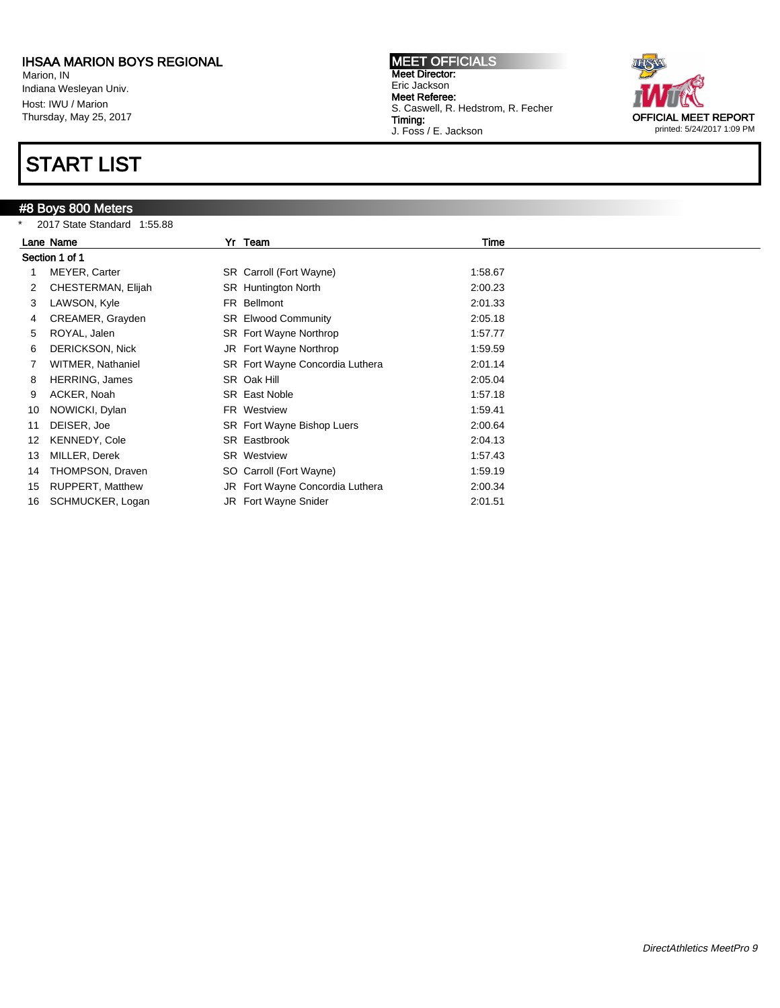Marion, IN Indiana Wesleyan Univ. Host: IWU / Marion Thursday, May 25, 2017

## START LIST

### #8 Boys 800 Meters

\* 2017 State Standard 1:55.88



| <b>2017 State Startuard 1.33.00</b> |                             |  |                                                                                                                                                                                                                                                                                                                                                                                                                      |  |  |  |
|-------------------------------------|-----------------------------|--|----------------------------------------------------------------------------------------------------------------------------------------------------------------------------------------------------------------------------------------------------------------------------------------------------------------------------------------------------------------------------------------------------------------------|--|--|--|
|                                     |                             |  | Time                                                                                                                                                                                                                                                                                                                                                                                                                 |  |  |  |
|                                     |                             |  |                                                                                                                                                                                                                                                                                                                                                                                                                      |  |  |  |
| MEYER, Carter                       |                             |  | 1:58.67                                                                                                                                                                                                                                                                                                                                                                                                              |  |  |  |
| CHESTERMAN, Elijah                  |                             |  | 2:00.23                                                                                                                                                                                                                                                                                                                                                                                                              |  |  |  |
| LAWSON, Kyle                        |                             |  | 2:01.33                                                                                                                                                                                                                                                                                                                                                                                                              |  |  |  |
| CREAMER, Grayden                    |                             |  | 2:05.18                                                                                                                                                                                                                                                                                                                                                                                                              |  |  |  |
| ROYAL, Jalen                        |                             |  | 1:57.77                                                                                                                                                                                                                                                                                                                                                                                                              |  |  |  |
| <b>DERICKSON, Nick</b>              |                             |  | 1:59.59                                                                                                                                                                                                                                                                                                                                                                                                              |  |  |  |
| <b>WITMER, Nathaniel</b>            |                             |  | 2:01.14                                                                                                                                                                                                                                                                                                                                                                                                              |  |  |  |
| <b>HERRING, James</b>               |                             |  | 2:05.04                                                                                                                                                                                                                                                                                                                                                                                                              |  |  |  |
| ACKER, Noah                         |                             |  | 1:57.18                                                                                                                                                                                                                                                                                                                                                                                                              |  |  |  |
| NOWICKI, Dylan                      |                             |  | 1:59.41                                                                                                                                                                                                                                                                                                                                                                                                              |  |  |  |
| DEISER, Joe                         |                             |  | 2:00.64                                                                                                                                                                                                                                                                                                                                                                                                              |  |  |  |
| KENNEDY, Cole                       |                             |  | 2:04.13                                                                                                                                                                                                                                                                                                                                                                                                              |  |  |  |
| MILLER, Derek                       |                             |  | 1:57.43                                                                                                                                                                                                                                                                                                                                                                                                              |  |  |  |
| THOMPSON, Draven                    |                             |  | 1:59.19                                                                                                                                                                                                                                                                                                                                                                                                              |  |  |  |
| <b>RUPPERT, Matthew</b>             |                             |  | 2:00.34                                                                                                                                                                                                                                                                                                                                                                                                              |  |  |  |
| SCHMUCKER, Logan                    |                             |  | 2:01.51                                                                                                                                                                                                                                                                                                                                                                                                              |  |  |  |
|                                     | Lane Name<br>Section 1 of 1 |  | Yr Team<br>SR Carroll (Fort Wayne)<br><b>SR</b> Huntington North<br>FR Bellmont<br><b>SR</b> Elwood Community<br>SR Fort Wayne Northrop<br>JR Fort Wayne Northrop<br>SR Fort Wayne Concordia Luthera<br>SR Oak Hill<br><b>SR</b> East Noble<br>FR Westview<br>SR Fort Wayne Bishop Luers<br>SR Eastbrook<br><b>SR</b> Westview<br>SO Carroll (Fort Wayne)<br>JR Fort Wayne Concordia Luthera<br>JR Fort Wayne Snider |  |  |  |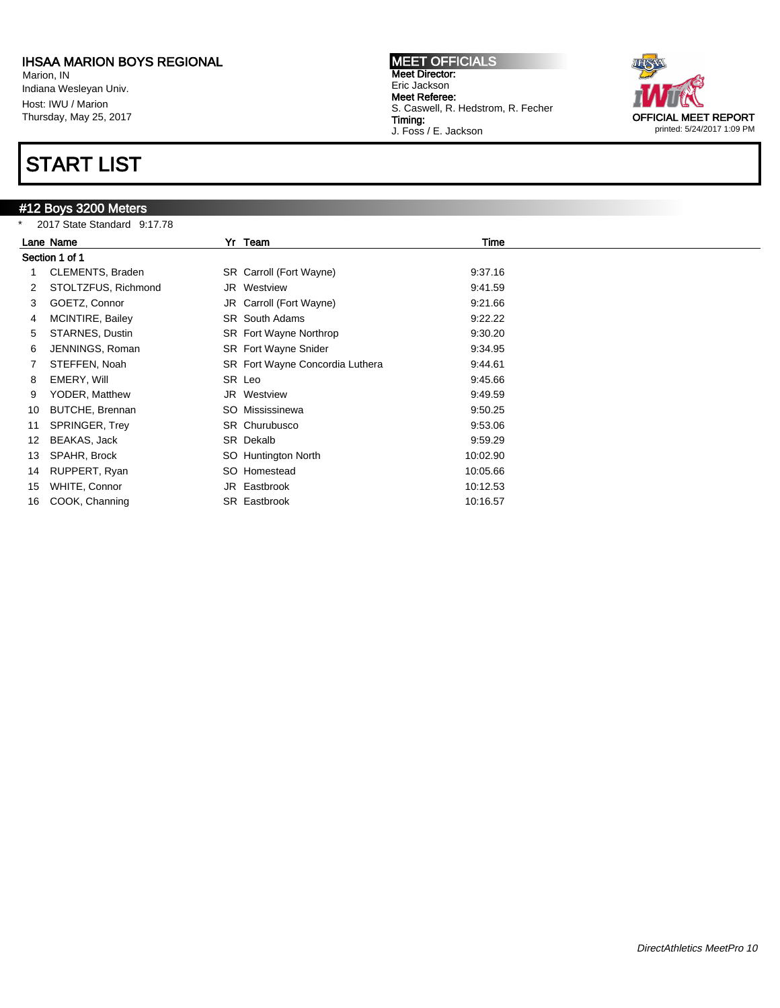Marion, IN Indiana Wesleyan Univ. Host: IWU / Marion Thursday, May 25, 2017

## START LIST

## #12 Boys 3200 Meters

\* 2017 State Standard 9:17.78



|    | $2011$ State Startuard $3.11.10$ |  |                                 |          |  |  |
|----|----------------------------------|--|---------------------------------|----------|--|--|
|    | Lane Name                        |  | Yr Team                         | Time     |  |  |
|    | Section 1 of 1                   |  |                                 |          |  |  |
|    | CLEMENTS, Braden                 |  | SR Carroll (Fort Wayne)         | 9:37.16  |  |  |
|    | STOLTZFUS, Richmond              |  | JR Westview                     | 9:41.59  |  |  |
| 3  | GOETZ, Connor                    |  | JR Carroll (Fort Wayne)         | 9:21.66  |  |  |
| 4  | MCINTIRE, Bailey                 |  | <b>SR</b> South Adams           | 9:22.22  |  |  |
| 5  | STARNES, Dustin                  |  | SR Fort Wayne Northrop          | 9:30.20  |  |  |
| 6  | JENNINGS, Roman                  |  | <b>SR</b> Fort Wayne Snider     | 9:34.95  |  |  |
|    | STEFFEN, Noah                    |  | SR Fort Wayne Concordia Luthera | 9:44.61  |  |  |
| 8  | EMERY, Will                      |  | SR Leo                          | 9:45.66  |  |  |
| 9  | YODER, Matthew                   |  | <b>JR</b> Westview              | 9:49.59  |  |  |
| 10 | BUTCHE, Brennan                  |  | SO Mississinewa                 | 9:50.25  |  |  |
| 11 | SPRINGER, Trey                   |  | SR Churubusco                   | 9:53.06  |  |  |
| 12 | BEAKAS, Jack                     |  | SR Dekalb                       | 9:59.29  |  |  |
| 13 | SPAHR, Brock                     |  | SO Huntington North             | 10:02.90 |  |  |
| 14 | RUPPERT, Ryan                    |  | SO Homestead                    | 10:05.66 |  |  |
| 15 | WHITE, Connor                    |  | JR Eastbrook                    | 10:12.53 |  |  |
| 16 | COOK, Channing                   |  | SR Eastbrook                    | 10:16.57 |  |  |
|    |                                  |  |                                 |          |  |  |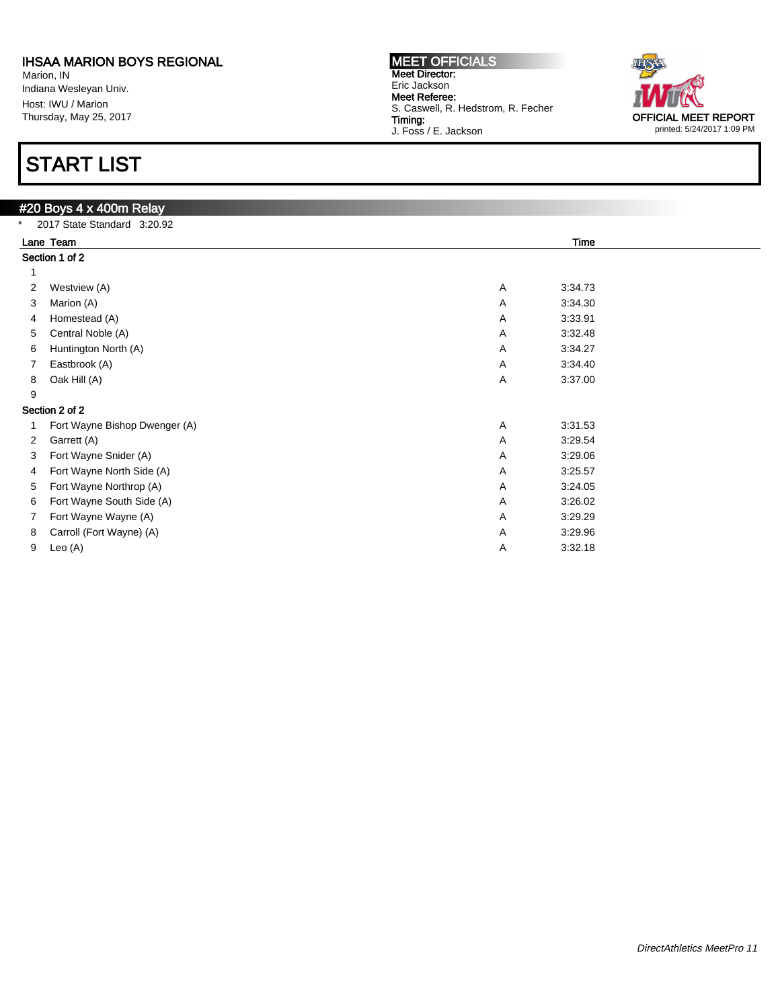Marion, IN Indiana Wesleyan Univ. Host: IWU / Marion Thursday, May 25, 2017

# START LIST

| Time<br>Lane Team             |                                                                                            |  |  |  |  |  |
|-------------------------------|--------------------------------------------------------------------------------------------|--|--|--|--|--|
|                               |                                                                                            |  |  |  |  |  |
|                               |                                                                                            |  |  |  |  |  |
| Westview (A)                  | A<br>3:34.73                                                                               |  |  |  |  |  |
| Marion (A)                    | 3:34.30<br>Α                                                                               |  |  |  |  |  |
| Homestead (A)                 | 3:33.91<br>Α                                                                               |  |  |  |  |  |
| Central Noble (A)             | 3:32.48<br>A                                                                               |  |  |  |  |  |
| Huntington North (A)          | 3:34.27<br>Α                                                                               |  |  |  |  |  |
| Eastbrook (A)                 | 3:34.40<br>Α                                                                               |  |  |  |  |  |
| Oak Hill (A)                  | 3:37.00<br>Α                                                                               |  |  |  |  |  |
|                               |                                                                                            |  |  |  |  |  |
|                               |                                                                                            |  |  |  |  |  |
| Fort Wayne Bishop Dwenger (A) | 3:31.53<br>Α                                                                               |  |  |  |  |  |
| Garrett (A)                   | 3:29.54<br>Α                                                                               |  |  |  |  |  |
| Fort Wayne Snider (A)         | 3:29.06<br>Α                                                                               |  |  |  |  |  |
| Fort Wayne North Side (A)     | 3:25.57<br>Α                                                                               |  |  |  |  |  |
| Fort Wayne Northrop (A)       | 3:24.05<br>Α                                                                               |  |  |  |  |  |
| Fort Wayne South Side (A)     | 3:26.02<br>Α                                                                               |  |  |  |  |  |
| Fort Wayne Wayne (A)          | 3:29.29<br>A                                                                               |  |  |  |  |  |
| Carroll (Fort Wayne) (A)      | 3:29.96<br>Α                                                                               |  |  |  |  |  |
| Leo (A)                       | 3:32.18<br>Α                                                                               |  |  |  |  |  |
|                               | #20 Boys 4 x 400m Relay<br>2017 State Standard 3:20.92<br>Section 1 of 2<br>Section 2 of 2 |  |  |  |  |  |

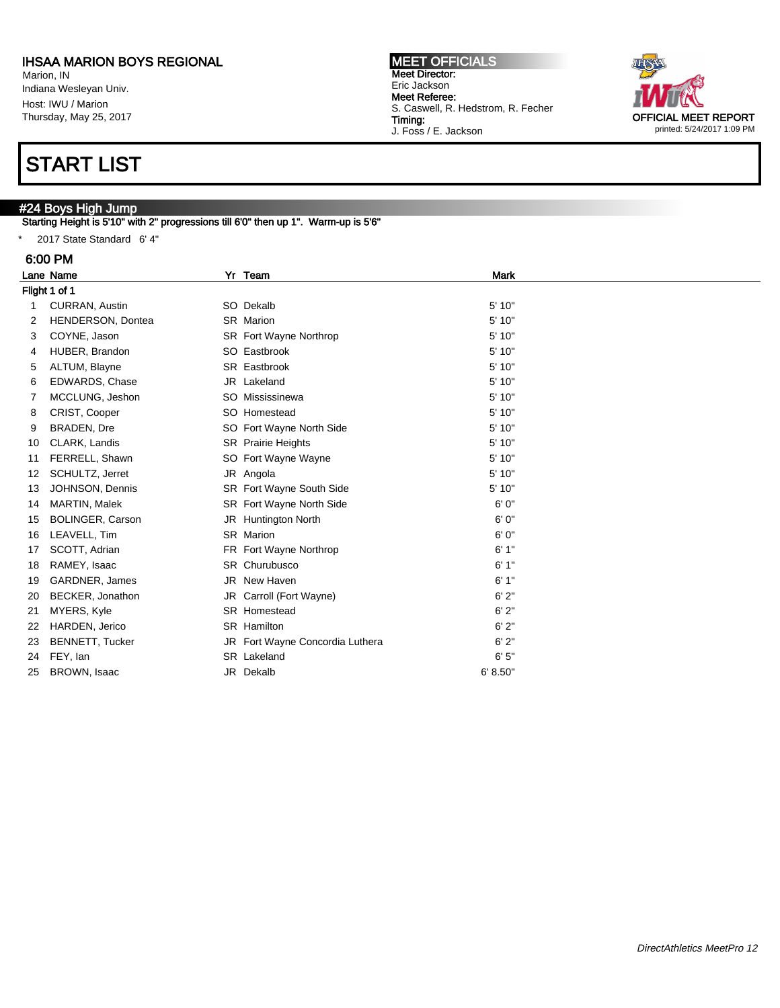Marion, IN Indiana Wesleyan Univ. Host: IWU / Marion Thursday, May 25, 2017

## START LIST

### #24 Boys High Jump

Starting Height is 5'10" with 2" progressions till 6'0" then up 1". Warm-up is 5'6"

\* 2017 State Standard 6' 4"

#### 6:00 PM

|    | Lane Name                | Yr        | Team                            | Mark     |  |
|----|--------------------------|-----------|---------------------------------|----------|--|
|    | Flight 1 of 1            |           |                                 |          |  |
| 1  | <b>CURRAN, Austin</b>    | SO Dekalb |                                 | 5' 10"   |  |
| 2  | <b>HENDERSON, Dontea</b> | SR Marion |                                 | 5' 10"   |  |
| 3  | COYNE, Jason             |           | SR Fort Wayne Northrop          | 5'10"    |  |
| 4  | HUBER, Brandon           |           | SO Eastbrook                    | 5' 10"   |  |
| 5  | ALTUM, Blayne            |           | SR Eastbrook                    | 5' 10"   |  |
| 6  | <b>EDWARDS, Chase</b>    |           | JR Lakeland                     | 5' 10"   |  |
|    | MCCLUNG, Jeshon          |           | SO Mississinewa                 | 5' 10"   |  |
| 8  | CRIST, Cooper            |           | SO Homestead                    | 5' 10"   |  |
| 9  | <b>BRADEN, Dre</b>       |           | SO Fort Wayne North Side        | 5' 10"   |  |
| 10 | CLARK, Landis            |           | SR Prairie Heights              | 5' 10"   |  |
| 11 | FERRELL, Shawn           |           | SO Fort Wayne Wayne             | 5' 10"   |  |
| 12 | SCHULTZ, Jerret          | JR Angola |                                 | 5' 10"   |  |
| 13 | JOHNSON, Dennis          |           | SR Fort Wayne South Side        | 5' 10"   |  |
| 14 | MARTIN, Malek            |           | SR Fort Wayne North Side        | 6'0''    |  |
| 15 | <b>BOLINGER, Carson</b>  |           | JR Huntington North             | 6'0''    |  |
| 16 | LEAVELL, Tim             | SR Marion |                                 | 6' 0"    |  |
| 17 | SCOTT, Adrian            |           | FR Fort Wayne Northrop          | 6'1"     |  |
| 18 | RAMEY, Isaac             |           | SR Churubusco                   | 6'1"     |  |
| 19 | GARDNER, James           |           | JR New Haven                    | 6'1"     |  |
| 20 | BECKER, Jonathon         |           | JR Carroll (Fort Wayne)         | 6'2"     |  |
| 21 | MYERS, Kyle              |           | SR Homestead                    | 6'2"     |  |
| 22 | HARDEN, Jerico           |           | SR Hamilton                     | 6'2"     |  |
| 23 | <b>BENNETT, Tucker</b>   |           | JR Fort Wayne Concordia Luthera | 6'2"     |  |
| 24 | FEY, Ian                 |           | SR Lakeland                     | 6'5''    |  |
| 25 | BROWN, Isaac             | JR Dekalb |                                 | 6' 8.50" |  |

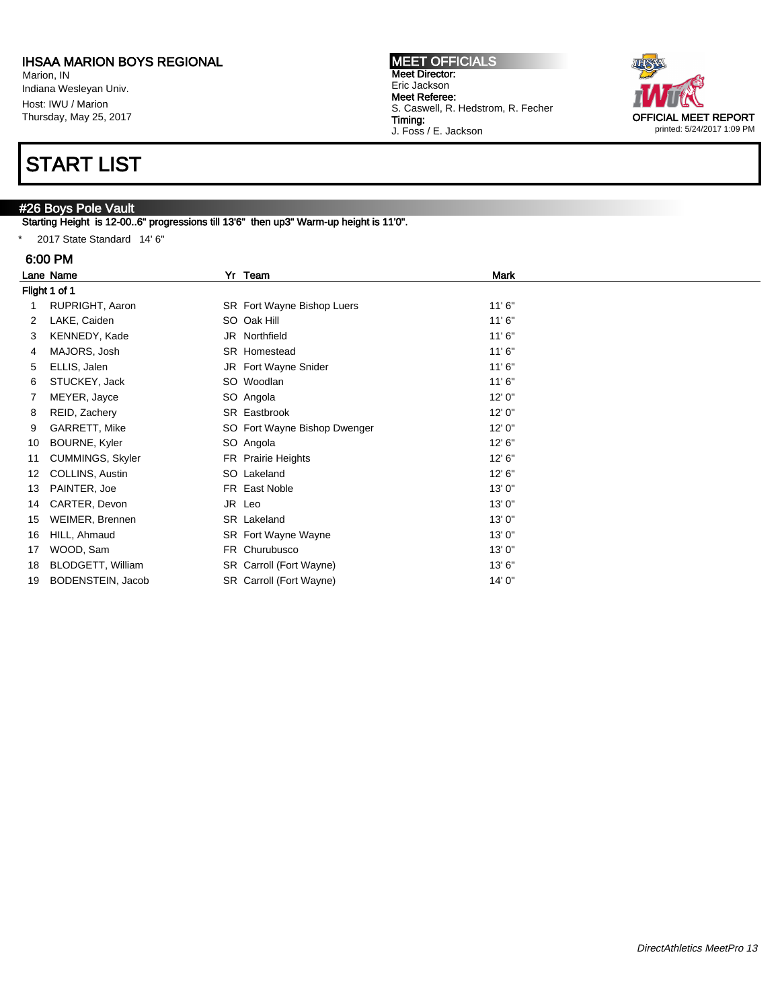Marion, IN Indiana Wesleyan Univ. Host: IWU / Marion Thursday, May 25, 2017

## START LIST

## #26 Boys Pole Vault

Starting Height is 12-00..6" progressions till 13'6" then up3" Warm-up height is 11'0".

\* 2017 State Standard 14' 6"

### 6:00 PM

|    | Lane Name               |  | Yr Team                      | <b>Mark</b> |  |  |  |
|----|-------------------------|--|------------------------------|-------------|--|--|--|
|    | Flight 1 of 1           |  |                              |             |  |  |  |
|    | RUPRIGHT, Aaron         |  | SR Fort Wayne Bishop Luers   | 11'6''      |  |  |  |
| 2  | LAKE, Caiden            |  | SO Oak Hill                  | 11'6''      |  |  |  |
| 3  | KENNEDY, Kade           |  | JR Northfield                | 11'6''      |  |  |  |
| 4  | MAJORS, Josh            |  | SR Homestead                 | 11'6''      |  |  |  |
| 5  | ELLIS, Jalen            |  | JR Fort Wayne Snider         | 11'6''      |  |  |  |
| 6  | STUCKEY, Jack           |  | SO Woodlan                   | 11'6''      |  |  |  |
| 7  | MEYER, Jayce            |  | SO Angola                    | 12' 0"      |  |  |  |
| 8  | REID, Zachery           |  | SR Eastbrook                 | 12'0''      |  |  |  |
| 9  | GARRETT, Mike           |  | SO Fort Wayne Bishop Dwenger | 12'0''      |  |  |  |
| 10 | BOURNE, Kyler           |  | SO Angola                    | 12' 6''     |  |  |  |
| 11 | <b>CUMMINGS, Skyler</b> |  | FR Prairie Heights           | 12' 6''     |  |  |  |
| 12 | COLLINS, Austin         |  | SO Lakeland                  | 12' 6''     |  |  |  |
| 13 | PAINTER, Joe            |  | FR East Noble                | 13'0"       |  |  |  |
| 14 | CARTER, Devon           |  | JR Leo                       | 13'0"       |  |  |  |
| 15 | WEIMER, Brennen         |  | SR Lakeland                  | 13'0"       |  |  |  |
| 16 | HILL, Ahmaud            |  | SR Fort Wayne Wayne          | 13'0''      |  |  |  |
| 17 | WOOD, Sam               |  | FR Churubusco                | 13'0''      |  |  |  |
| 18 | BLODGETT, William       |  | SR Carroll (Fort Wayne)      | 13' 6"      |  |  |  |
| 19 | BODENSTEIN, Jacob       |  | SR Carroll (Fort Wayne)      | 14' 0"      |  |  |  |

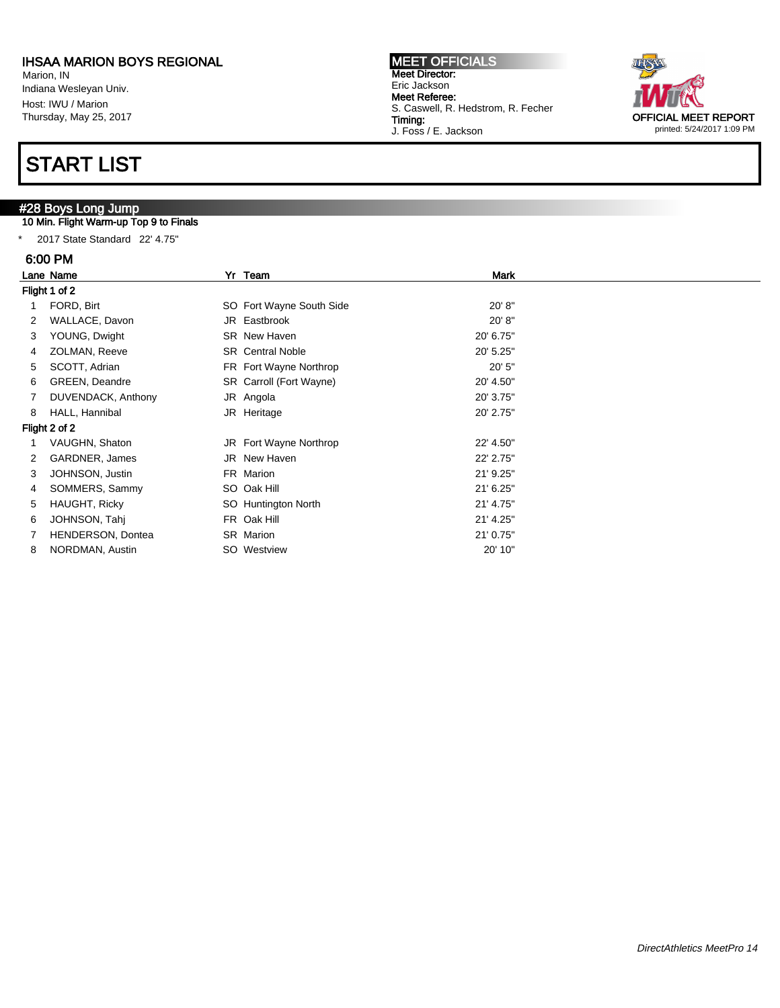Marion, IN Indiana Wesleyan Univ. Host: IWU / Marion Thursday, May 25, 2017

## START LIST

## #28 Boys Long Jump

### 10 Min. Flight Warm-up Top 9 to Finals

\* 2017 State Standard 22' 4.75"

## $6.00000$

| 6:00 PM              |                       |                          |             |  |  |  |  |
|----------------------|-----------------------|--------------------------|-------------|--|--|--|--|
|                      | Lane Name             | Yr Team                  | <b>Mark</b> |  |  |  |  |
|                      | Flight 1 of 2         |                          |             |  |  |  |  |
|                      | FORD, Birt            | SO Fort Wayne South Side | 20' 8''     |  |  |  |  |
| $\mathbf{2}^{\circ}$ | WALLACE, Davon        | JR Eastbrook             | 20' 8''     |  |  |  |  |
| 3                    | YOUNG, Dwight         | <b>SR</b> New Haven      | 20' 6.75"   |  |  |  |  |
| 4                    | ZOLMAN, Reeve         | <b>SR</b> Central Noble  | 20' 5.25"   |  |  |  |  |
| 5                    | SCOTT, Adrian         | FR Fort Wayne Northrop   | 20'5''      |  |  |  |  |
| 6                    | <b>GREEN, Deandre</b> | SR Carroll (Fort Wayne)  | 20' 4.50"   |  |  |  |  |
| 7                    | DUVENDACK, Anthony    | JR Angola                | 20' 3.75"   |  |  |  |  |
| 8                    | HALL, Hannibal        | JR Heritage              | 20' 2.75"   |  |  |  |  |
|                      | Flight 2 of 2         |                          |             |  |  |  |  |
|                      | VAUGHN, Shaton        | JR Fort Wayne Northrop   | 22' 4.50"   |  |  |  |  |
| 2                    | GARDNER, James        | JR New Haven             | 22' 2.75"   |  |  |  |  |
| 3                    | JOHNSON, Justin       | FR Marion                | 21' 9.25"   |  |  |  |  |
| 4                    | SOMMERS, Sammy        | SO Oak Hill              | 21' 6.25"   |  |  |  |  |
| 5                    | HAUGHT, Ricky         | SO Huntington North      | 21' 4.75"   |  |  |  |  |
| 6                    | JOHNSON, Tahj         | FR Oak Hill              | 21' 4.25"   |  |  |  |  |
|                      | HENDERSON, Dontea     | SR Marion                | 21' 0.75"   |  |  |  |  |
|                      |                       |                          |             |  |  |  |  |

8 NORDMAN, Austin SO Westview 20' 10"

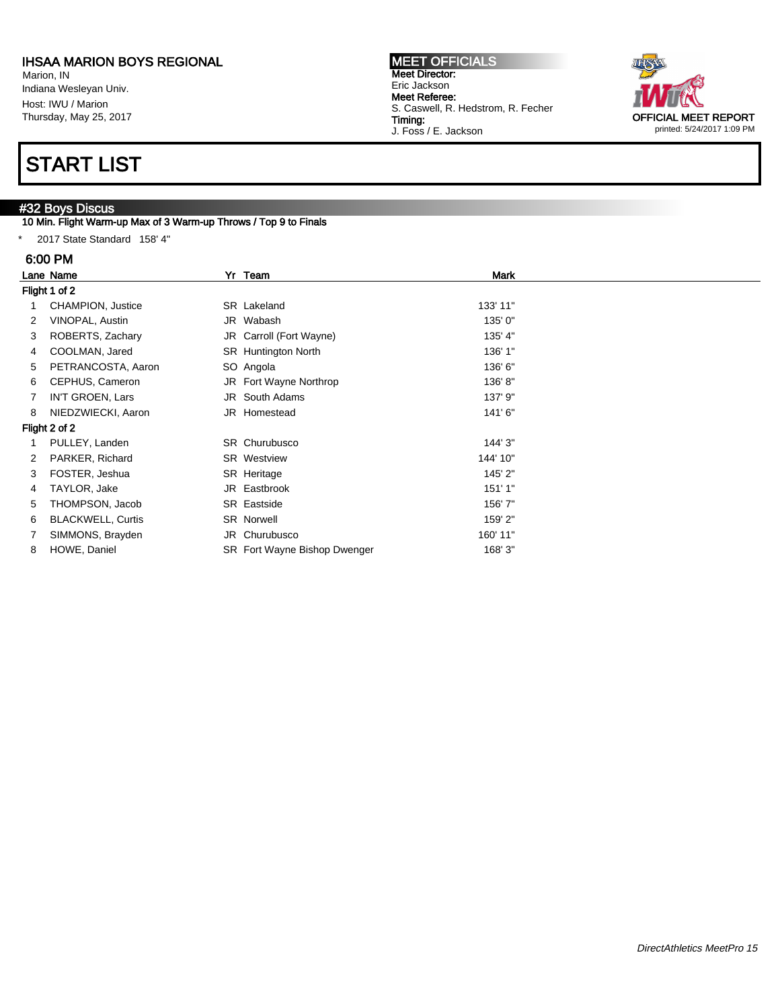Marion, IN Indiana Wesleyan Univ. Host: IWU / Marion Thursday, May 25, 2017

## START LIST

## #32 Boys Discus

### 10 Min. Flight Warm-up Max of 3 Warm-up Throws / Top 9 to Finals

\* 2017 State Standard 158' 4"

#### 6:00 PM

|               | Lane Name                |  | Yr Team                      | Mark     |  |  |  |  |
|---------------|--------------------------|--|------------------------------|----------|--|--|--|--|
|               | Flight 1 of 2            |  |                              |          |  |  |  |  |
|               | CHAMPION, Justice        |  | SR Lakeland                  | 133' 11" |  |  |  |  |
| 2             | VINOPAL, Austin          |  | JR Wabash                    | 135' 0"  |  |  |  |  |
| 3             | ROBERTS, Zachary         |  | JR Carroll (Fort Wayne)      | 135' 4"  |  |  |  |  |
| 4             | COOLMAN, Jared           |  | <b>SR</b> Huntington North   | 136' 1"  |  |  |  |  |
| 5             | PETRANCOSTA, Aaron       |  | SO Angola                    | 136' 6"  |  |  |  |  |
| 6             | CEPHUS, Cameron          |  | JR Fort Wayne Northrop       | 136'8"   |  |  |  |  |
| 7             | IN'T GROEN, Lars         |  | JR South Adams               | 137' 9"  |  |  |  |  |
| 8             | NIEDZWIECKI, Aaron       |  | JR Homestead                 | 141'6"   |  |  |  |  |
| Flight 2 of 2 |                          |  |                              |          |  |  |  |  |
|               | PULLEY, Landen           |  | SR Churubusco                | 144' 3"  |  |  |  |  |
|               | PARKER, Richard          |  | <b>SR</b> Westview           | 144' 10" |  |  |  |  |
| 3             | FOSTER, Jeshua           |  | SR Heritage                  | 145' 2"  |  |  |  |  |
| 4             | TAYLOR, Jake             |  | JR Eastbrook                 | 151'1"   |  |  |  |  |
| 5             | THOMPSON, Jacob          |  | SR Eastside                  | 156'7"   |  |  |  |  |
| 6             | <b>BLACKWELL, Curtis</b> |  | <b>SR Norwell</b>            | 159' 2"  |  |  |  |  |
|               | SIMMONS, Brayden         |  | JR Churubusco                | 160' 11" |  |  |  |  |
| 8             | HOWE, Daniel             |  | SR Fort Wayne Bishop Dwenger | 168' 3"  |  |  |  |  |